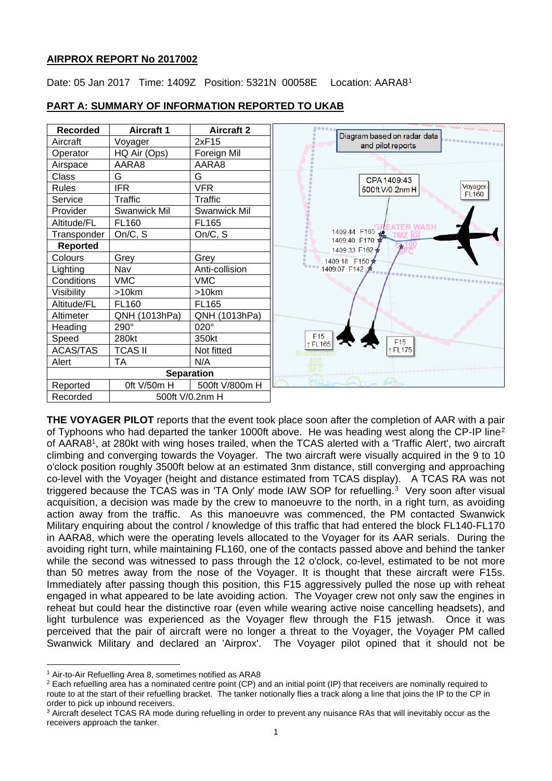## **AIRPROX REPORT No 2017002**

Date: 05 Jan 2017 Time: 1409Z Position: 5321N 00058E Location: AARA8[1](#page-0-0)



## **PART A: SUMMARY OF INFORMATION REPORTED TO UKAB**

**THE VOYAGER PILOT** reports that the event took place soon after the completion of AAR with a pair of Typhoons who had departed the tanker 1000ft above. He was heading west along the CP-IP line<sup>[2](#page-0-1)</sup> of AARA81, at 280kt with wing hoses trailed, when the TCAS alerted with a 'Traffic Alert', two aircraft climbing and converging towards the Voyager. The two aircraft were visually acquired in the 9 to 10 o'clock position roughly 3500ft below at an estimated 3nm distance, still converging and approaching co-level with the Voyager (height and distance estimated from TCAS display). A TCAS RA was not triggered because the TCAS was in 'TA Only' mode IAW SOP for refuelling.[3](#page-0-2) Very soon after visual acquisition, a decision was made by the crew to manoeuvre to the north, in a right turn, as avoiding action away from the traffic. As this manoeuvre was commenced, the PM contacted Swanwick Military enquiring about the control / knowledge of this traffic that had entered the block FL140-FL170 in AARA8, which were the operating levels allocated to the Voyager for its AAR serials. During the avoiding right turn, while maintaining FL160, one of the contacts passed above and behind the tanker while the second was witnessed to pass through the 12 o'clock, co-level, estimated to be not more than 50 metres away from the nose of the Voyager. It is thought that these aircraft were F15s. Immediately after passing though this position, this F15 aggressively pulled the nose up with reheat engaged in what appeared to be late avoiding action. The Voyager crew not only saw the engines in reheat but could hear the distinctive roar (even while wearing active noise cancelling headsets), and light turbulence was experienced as the Voyager flew through the F15 jetwash. Once it was perceived that the pair of aircraft were no longer a threat to the Voyager, the Voyager PM called Swanwick Military and declared an 'Airprox'. The Voyager pilot opined that it should not be

 $\overline{a}$ 

<span id="page-0-0"></span><sup>1</sup> Air-to-Air Refuelling Area 8, sometimes notified as ARA8

<span id="page-0-1"></span><sup>&</sup>lt;sup>2</sup> Each refuelling area has a nominated centre point (CP) and an initial point (IP) that receivers are nominally required to route to at the start of their refuelling bracket. The tanker notionally flies a track along a line that joins the IP to the CP in order to pick up inbound receivers.

<span id="page-0-2"></span><sup>&</sup>lt;sup>3</sup> Aircraft deselect TCAS RA mode during refuelling in order to prevent any nuisance RAs that will inevitably occur as the receivers approach the tanker.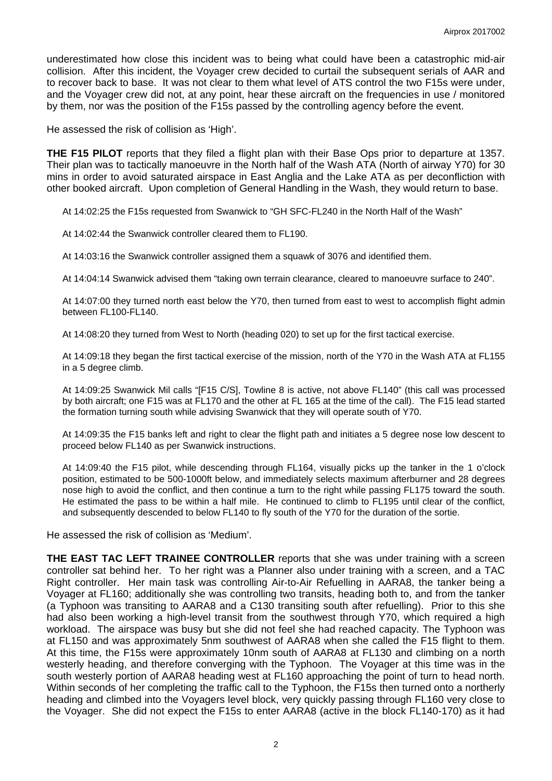underestimated how close this incident was to being what could have been a catastrophic mid-air collision. After this incident, the Voyager crew decided to curtail the subsequent serials of AAR and to recover back to base. It was not clear to them what level of ATS control the two F15s were under, and the Voyager crew did not, at any point, hear these aircraft on the frequencies in use / monitored by them, nor was the position of the F15s passed by the controlling agency before the event.

He assessed the risk of collision as 'High'.

**THE F15 PILOT** reports that they filed a flight plan with their Base Ops prior to departure at 1357. Their plan was to tactically manoeuvre in the North half of the Wash ATA (North of airway Y70) for 30 mins in order to avoid saturated airspace in East Anglia and the Lake ATA as per deconfliction with other booked aircraft. Upon completion of General Handling in the Wash, they would return to base.

At 14:02:25 the F15s requested from Swanwick to "GH SFC-FL240 in the North Half of the Wash"

At 14:02:44 the Swanwick controller cleared them to FL190.

At 14:03:16 the Swanwick controller assigned them a squawk of 3076 and identified them.

At 14:04:14 Swanwick advised them "taking own terrain clearance, cleared to manoeuvre surface to 240".

At 14:07:00 they turned north east below the Y70, then turned from east to west to accomplish flight admin between FL100-FL140.

At 14:08:20 they turned from West to North (heading 020) to set up for the first tactical exercise.

At 14:09:18 they began the first tactical exercise of the mission, north of the Y70 in the Wash ATA at FL155 in a 5 degree climb.

At 14:09:25 Swanwick Mil calls "[F15 C/S], Towline 8 is active, not above FL140" (this call was processed by both aircraft; one F15 was at FL170 and the other at FL 165 at the time of the call). The F15 lead started the formation turning south while advising Swanwick that they will operate south of Y70.

At 14:09:35 the F15 banks left and right to clear the flight path and initiates a 5 degree nose low descent to proceed below FL140 as per Swanwick instructions.

At 14:09:40 the F15 pilot, while descending through FL164, visually picks up the tanker in the 1 o'clock position, estimated to be 500-1000ft below, and immediately selects maximum afterburner and 28 degrees nose high to avoid the conflict, and then continue a turn to the right while passing FL175 toward the south. He estimated the pass to be within a half mile. He continued to climb to FL195 until clear of the conflict, and subsequently descended to below FL140 to fly south of the Y70 for the duration of the sortie.

He assessed the risk of collision as 'Medium'.

**THE EAST TAC LEFT TRAINEE CONTROLLER** reports that she was under training with a screen controller sat behind her. To her right was a Planner also under training with a screen, and a TAC Right controller. Her main task was controlling Air-to-Air Refuelling in AARA8, the tanker being a Voyager at FL160; additionally she was controlling two transits, heading both to, and from the tanker (a Typhoon was transiting to AARA8 and a C130 transiting south after refuelling). Prior to this she had also been working a high-level transit from the southwest through Y70, which required a high workload. The airspace was busy but she did not feel she had reached capacity. The Typhoon was at FL150 and was approximately 5nm southwest of AARA8 when she called the F15 flight to them. At this time, the F15s were approximately 10nm south of AARA8 at FL130 and climbing on a north westerly heading, and therefore converging with the Typhoon. The Voyager at this time was in the south westerly portion of AARA8 heading west at FL160 approaching the point of turn to head north. Within seconds of her completing the traffic call to the Typhoon, the F15s then turned onto a northerly heading and climbed into the Voyagers level block, very quickly passing through FL160 very close to the Voyager. She did not expect the F15s to enter AARA8 (active in the block FL140-170) as it had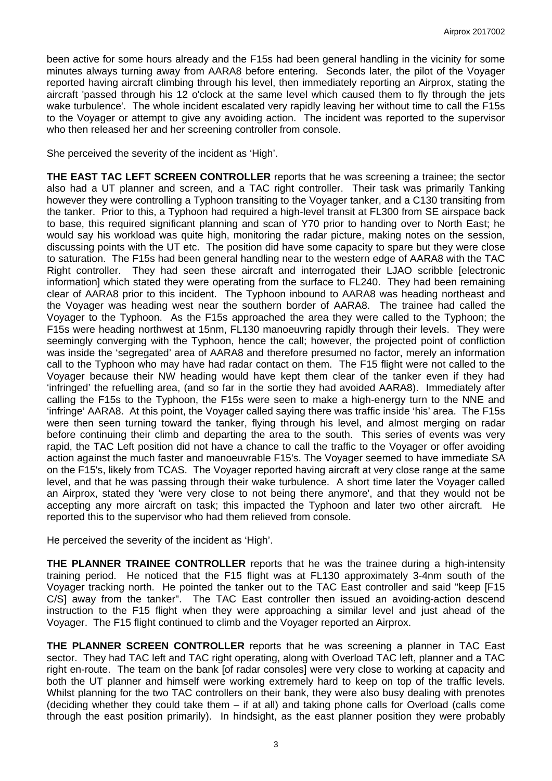been active for some hours already and the F15s had been general handling in the vicinity for some minutes always turning away from AARA8 before entering. Seconds later, the pilot of the Voyager reported having aircraft climbing through his level, then immediately reporting an Airprox, stating the aircraft 'passed through his 12 o'clock at the same level which caused them to fly through the jets wake turbulence'. The whole incident escalated very rapidly leaving her without time to call the F15s to the Voyager or attempt to give any avoiding action. The incident was reported to the supervisor who then released her and her screening controller from console.

She perceived the severity of the incident as 'High'.

**THE EAST TAC LEFT SCREEN CONTROLLER** reports that he was screening a trainee; the sector also had a UT planner and screen, and a TAC right controller. Their task was primarily Tanking however they were controlling a Typhoon transiting to the Voyager tanker, and a C130 transiting from the tanker. Prior to this, a Typhoon had required a high-level transit at FL300 from SE airspace back to base, this required significant planning and scan of Y70 prior to handing over to North East; he would say his workload was quite high, monitoring the radar picture, making notes on the session, discussing points with the UT etc. The position did have some capacity to spare but they were close to saturation. The F15s had been general handling near to the western edge of AARA8 with the TAC Right controller. They had seen these aircraft and interrogated their LJAO scribble [electronic information] which stated they were operating from the surface to FL240. They had been remaining clear of AARA8 prior to this incident. The Typhoon inbound to AARA8 was heading northeast and the Voyager was heading west near the southern border of AARA8. The trainee had called the Voyager to the Typhoon. As the F15s approached the area they were called to the Typhoon; the F15s were heading northwest at 15nm, FL130 manoeuvring rapidly through their levels. They were seemingly converging with the Typhoon, hence the call; however, the projected point of confliction was inside the 'segregated' area of AARA8 and therefore presumed no factor, merely an information call to the Typhoon who may have had radar contact on them. The F15 flight were not called to the Voyager because their NW heading would have kept them clear of the tanker even if they had 'infringed' the refuelling area, (and so far in the sortie they had avoided AARA8). Immediately after calling the F15s to the Typhoon, the F15s were seen to make a high-energy turn to the NNE and 'infringe' AARA8. At this point, the Voyager called saying there was traffic inside 'his' area. The F15s were then seen turning toward the tanker, flying through his level, and almost merging on radar before continuing their climb and departing the area to the south. This series of events was very rapid, the TAC Left position did not have a chance to call the traffic to the Voyager or offer avoiding action against the much faster and manoeuvrable F15's. The Voyager seemed to have immediate SA on the F15's, likely from TCAS. The Voyager reported having aircraft at very close range at the same level, and that he was passing through their wake turbulence. A short time later the Voyager called an Airprox, stated they 'were very close to not being there anymore', and that they would not be accepting any more aircraft on task; this impacted the Typhoon and later two other aircraft. He reported this to the supervisor who had them relieved from console.

He perceived the severity of the incident as 'High'.

**THE PLANNER TRAINEE CONTROLLER** reports that he was the trainee during a high-intensity training period. He noticed that the F15 flight was at FL130 approximately 3-4nm south of the Voyager tracking north. He pointed the tanker out to the TAC East controller and said "keep [F15 C/S] away from the tanker". The TAC East controller then issued an avoiding-action descend instruction to the F15 flight when they were approaching a similar level and just ahead of the Voyager. The F15 flight continued to climb and the Voyager reported an Airprox.

**THE PLANNER SCREEN CONTROLLER** reports that he was screening a planner in TAC East sector. They had TAC left and TAC right operating, along with Overload TAC left, planner and a TAC right en-route. The team on the bank [of radar consoles] were very close to working at capacity and both the UT planner and himself were working extremely hard to keep on top of the traffic levels. Whilst planning for the two TAC controllers on their bank, they were also busy dealing with prenotes (deciding whether they could take them – if at all) and taking phone calls for Overload (calls come through the east position primarily). In hindsight, as the east planner position they were probably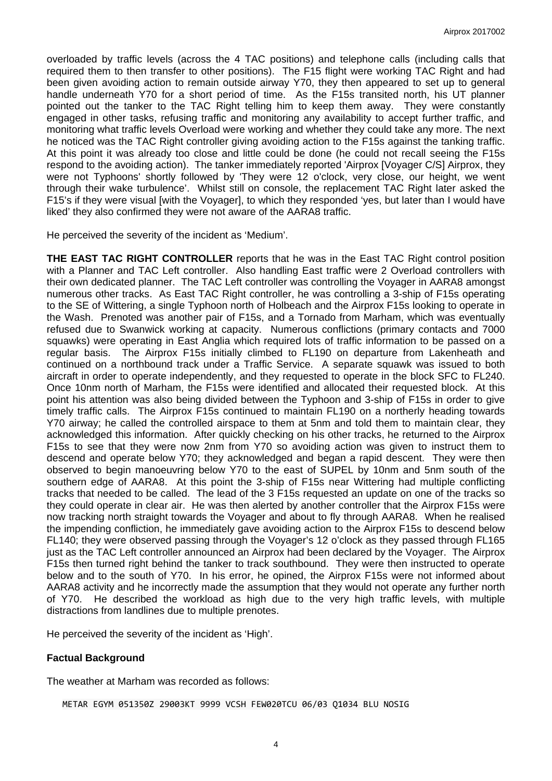overloaded by traffic levels (across the 4 TAC positions) and telephone calls (including calls that required them to then transfer to other positions). The F15 flight were working TAC Right and had been given avoiding action to remain outside airway Y70, they then appeared to set up to general handle underneath Y70 for a short period of time. As the F15s transited north, his UT planner pointed out the tanker to the TAC Right telling him to keep them away. They were constantly engaged in other tasks, refusing traffic and monitoring any availability to accept further traffic, and monitoring what traffic levels Overload were working and whether they could take any more. The next he noticed was the TAC Right controller giving avoiding action to the F15s against the tanking traffic. At this point it was already too close and little could be done (he could not recall seeing the F15s respond to the avoiding action). The tanker immediately reported 'Airprox [Voyager C/S] Airprox, they were not Typhoons' shortly followed by 'They were 12 o'clock, very close, our height, we went through their wake turbulence'. Whilst still on console, the replacement TAC Right later asked the F15's if they were visual [with the Voyager], to which they responded 'yes, but later than I would have liked' they also confirmed they were not aware of the AARA8 traffic.

He perceived the severity of the incident as 'Medium'.

**THE EAST TAC RIGHT CONTROLLER** reports that he was in the East TAC Right control position with a Planner and TAC Left controller. Also handling East traffic were 2 Overload controllers with their own dedicated planner. The TAC Left controller was controlling the Voyager in AARA8 amongst numerous other tracks. As East TAC Right controller, he was controlling a 3-ship of F15s operating to the SE of Wittering, a single Typhoon north of Holbeach and the Airprox F15s looking to operate in the Wash. Prenoted was another pair of F15s, and a Tornado from Marham, which was eventually refused due to Swanwick working at capacity. Numerous conflictions (primary contacts and 7000 squawks) were operating in East Anglia which required lots of traffic information to be passed on a regular basis. The Airprox F15s initially climbed to FL190 on departure from Lakenheath and continued on a northbound track under a Traffic Service. A separate squawk was issued to both aircraft in order to operate independently, and they requested to operate in the block SFC to FL240. Once 10nm north of Marham, the F15s were identified and allocated their requested block. At this point his attention was also being divided between the Typhoon and 3-ship of F15s in order to give timely traffic calls. The Airprox F15s continued to maintain FL190 on a northerly heading towards Y70 airway; he called the controlled airspace to them at 5nm and told them to maintain clear, they acknowledged this information. After quickly checking on his other tracks, he returned to the Airprox F15s to see that they were now 2nm from Y70 so avoiding action was given to instruct them to descend and operate below Y70; they acknowledged and began a rapid descent. They were then observed to begin manoeuvring below Y70 to the east of SUPEL by 10nm and 5nm south of the southern edge of AARA8. At this point the 3-ship of F15s near Wittering had multiple conflicting tracks that needed to be called. The lead of the 3 F15s requested an update on one of the tracks so they could operate in clear air. He was then alerted by another controller that the Airprox F15s were now tracking north straight towards the Voyager and about to fly through AARA8. When he realised the impending confliction, he immediately gave avoiding action to the Airprox F15s to descend below FL140; they were observed passing through the Voyager's 12 o'clock as they passed through FL165 just as the TAC Left controller announced an Airprox had been declared by the Voyager. The Airprox F15s then turned right behind the tanker to track southbound. They were then instructed to operate below and to the south of Y70. In his error, he opined, the Airprox F15s were not informed about AARA8 activity and he incorrectly made the assumption that they would not operate any further north of Y70. He described the workload as high due to the very high traffic levels, with multiple distractions from landlines due to multiple prenotes.

He perceived the severity of the incident as 'High'.

## **Factual Background**

The weather at Marham was recorded as follows:

METAR EGYM 051350Z 29003KT 9999 VCSH FEW020TCU 06/03 Q1034 BLU NOSIG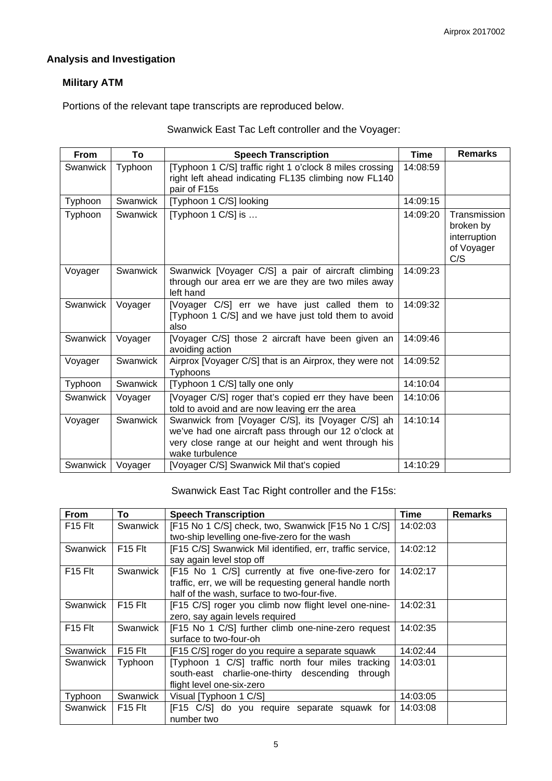# **Analysis and Investigation**

# **Military ATM**

Portions of the relevant tape transcripts are reproduced below.

| Swanwick East Tac Left controller and the Voyager: |  |  |
|----------------------------------------------------|--|--|
|----------------------------------------------------|--|--|

| <b>From</b> | To       | <b>Speech Transcription</b>                                                                                                                                                          | <b>Time</b> | <b>Remarks</b>                                                 |
|-------------|----------|--------------------------------------------------------------------------------------------------------------------------------------------------------------------------------------|-------------|----------------------------------------------------------------|
| Swanwick    | Typhoon  | [Typhoon 1 C/S] traffic right 1 o'clock 8 miles crossing<br>right left ahead indicating FL135 climbing now FL140<br>pair of F15s                                                     | 14:08:59    |                                                                |
| Typhoon     | Swanwick | [Typhoon 1 C/S] looking                                                                                                                                                              | 14:09:15    |                                                                |
| Typhoon     | Swanwick | [Typhoon 1 C/S] is                                                                                                                                                                   | 14:09:20    | Transmission<br>broken by<br>interruption<br>of Voyager<br>C/S |
| Voyager     | Swanwick | Swanwick [Voyager C/S] a pair of aircraft climbing<br>through our area err we are they are two miles away<br>left hand                                                               | 14:09:23    |                                                                |
| Swanwick    | Voyager  | [Voyager C/S] err we have just called them to<br>[Typhoon 1 C/S] and we have just told them to avoid<br>also                                                                         | 14:09:32    |                                                                |
| Swanwick    | Voyager  | [Voyager C/S] those 2 aircraft have been given an<br>avoiding action                                                                                                                 | 14:09:46    |                                                                |
| Voyager     | Swanwick | Airprox [Voyager C/S] that is an Airprox, they were not<br>Typhoons                                                                                                                  | 14:09:52    |                                                                |
| Typhoon     | Swanwick | [Typhoon 1 C/S] tally one only                                                                                                                                                       | 14:10:04    |                                                                |
| Swanwick    | Voyager  | [Voyager C/S] roger that's copied err they have been<br>told to avoid and are now leaving err the area                                                                               | 14:10:06    |                                                                |
| Voyager     | Swanwick | Swanwick from [Voyager C/S], its [Voyager C/S] ah<br>we've had one aircraft pass through our 12 o'clock at<br>very close range at our height and went through his<br>wake turbulence | 14:10:14    |                                                                |
| Swanwick    | Voyager  | [Voyager C/S] Swanwick Mil that's copied                                                                                                                                             | 14:10:29    |                                                                |

Swanwick East Tac Right controller and the F15s:

| <b>From</b>                     | To                              | <b>Speech Transcription</b>                              | <b>Time</b> | <b>Remarks</b> |
|---------------------------------|---------------------------------|----------------------------------------------------------|-------------|----------------|
| F <sub>15</sub> F <sub>It</sub> | Swanwick                        | [F15 No 1 C/S] check, two, Swanwick [F15 No 1 C/S]       | 14:02:03    |                |
|                                 |                                 | two-ship levelling one-five-zero for the wash            |             |                |
| Swanwick                        | F <sub>15</sub> Flt             | [F15 C/S] Swanwick Mil identified, err, traffic service, | 14:02:12    |                |
|                                 |                                 | say again level stop off                                 |             |                |
| F <sub>15</sub> Flt             | Swanwick                        | [F15 No 1 C/S] currently at five one-five-zero for       | 14:02:17    |                |
|                                 |                                 | traffic, err, we will be requesting general handle north |             |                |
|                                 |                                 | half of the wash, surface to two-four-five.              |             |                |
| Swanwick                        | F <sub>15</sub> F <sub>It</sub> | [F15 C/S] roger you climb now flight level one-nine-     | 14:02:31    |                |
|                                 |                                 | zero, say again levels required                          |             |                |
| $F15$ Flt                       | Swanwick                        | [F15 No 1 C/S] further climb one-nine-zero request       | 14:02:35    |                |
|                                 |                                 | surface to two-four-oh                                   |             |                |
| Swanwick                        | F <sub>15</sub> F <sub>It</sub> | [F15 C/S] roger do you require a separate squawk         | 14:02:44    |                |
| Swanwick                        | Typhoon                         | [Typhoon 1 C/S] traffic north four miles tracking        | 14:03:01    |                |
|                                 |                                 | south-east charlie-one-thirty descending<br>through      |             |                |
|                                 |                                 | flight level one-six-zero                                |             |                |
| Typhoon                         | Swanwick                        | Visual [Typhoon 1 C/S]                                   | 14:03:05    |                |
| Swanwick                        | $F15$ Flt                       | [F15 C/S] do you require separate squawk for             | 14:03:08    |                |
|                                 |                                 | number two                                               |             |                |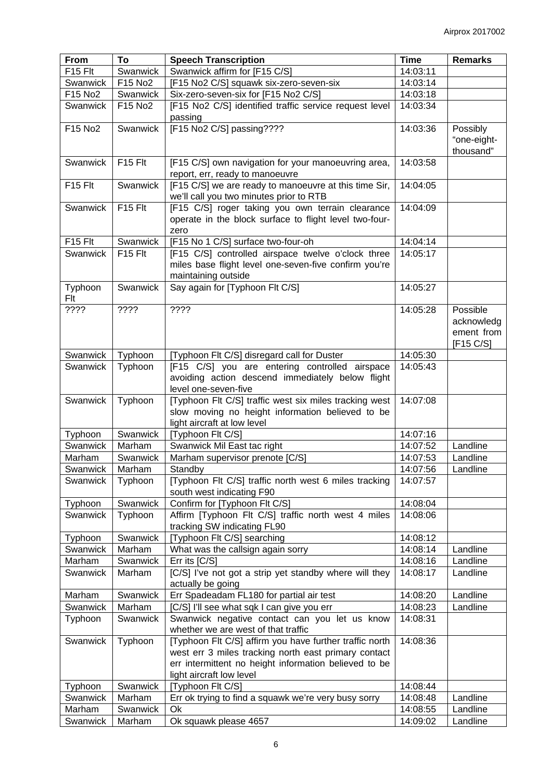| From                | To                  | <b>Speech Transcription</b>                                                                        | <b>Time</b>          | <b>Remarks</b> |
|---------------------|---------------------|----------------------------------------------------------------------------------------------------|----------------------|----------------|
| F <sub>15</sub> Flt | Swanwick            | Swanwick affirm for [F15 C/S]                                                                      | 14:03:11             |                |
| Swanwick            | F15 No2             | [F15 No2 C/S] squawk six-zero-seven-six                                                            | 14:03:14             |                |
| F15 No2             | Swanwick            | Six-zero-seven-six for [F15 No2 C/S]                                                               | 14:03:18             |                |
| Swanwick            | F15 No2             | [F15 No2 C/S] identified traffic service request level                                             | 14:03:34             |                |
|                     |                     | passing                                                                                            |                      |                |
| F15 No2             | Swanwick            | [F15 No2 C/S] passing????                                                                          | 14:03:36             | Possibly       |
|                     |                     |                                                                                                    |                      | "one-eight-    |
|                     |                     |                                                                                                    |                      | thousand"      |
| Swanwick            | F <sub>15</sub> Flt | [F15 C/S] own navigation for your manoeuvring area,                                                | 14:03:58             |                |
|                     |                     | report, err, ready to manoeuvre                                                                    |                      |                |
| F15 Flt             | Swanwick            | [F15 C/S] we are ready to manoeuvre at this time Sir,                                              | 14:04:05             |                |
|                     |                     | we'll call you two minutes prior to RTB                                                            |                      |                |
| Swanwick            | F15 Flt             | [F15 C/S] roger taking you own terrain clearance                                                   | 14:04:09             |                |
|                     |                     | operate in the block surface to flight level two-four-                                             |                      |                |
|                     |                     | zero                                                                                               |                      |                |
| F15 Flt             | Swanwick            | [F15 No 1 C/S] surface two-four-oh                                                                 | 14:04:14             |                |
| Swanwick            | F15 Flt             | [F15 C/S] controlled airspace twelve o'clock three                                                 | 14:05:17             |                |
|                     |                     | miles base flight level one-seven-five confirm you're                                              |                      |                |
|                     |                     | maintaining outside                                                                                |                      |                |
| Typhoon             | Swanwick            | Say again for [Typhoon Flt C/S]                                                                    | 14:05:27             |                |
| Flt                 |                     |                                                                                                    |                      |                |
| ????                | ????                | ????                                                                                               | 14:05:28             | Possible       |
|                     |                     |                                                                                                    |                      | acknowledg     |
|                     |                     |                                                                                                    |                      | ement from     |
|                     |                     |                                                                                                    |                      | [F15 C/S]      |
| Swanwick            | Typhoon             | [Typhoon Flt C/S] disregard call for Duster                                                        | 14:05:30<br>14:05:43 |                |
| Swanwick            | Typhoon             | [F15 C/S] you are entering controlled airspace<br>avoiding action descend immediately below flight |                      |                |
|                     |                     | level one-seven-five                                                                               |                      |                |
| Swanwick            | Typhoon             | [Typhoon Flt C/S] traffic west six miles tracking west                                             | 14:07:08             |                |
|                     |                     | slow moving no height information believed to be                                                   |                      |                |
|                     |                     | light aircraft at low level                                                                        |                      |                |
| Typhoon             | Swanwick            | [Typhoon Flt C/S]                                                                                  | 14:07:16             |                |
| Swanwick            | Marham              | Swanwick Mil East tac right                                                                        | 14:07:52             | Landline       |
| Marham              | Swanwick            | Marham supervisor prenote [C/S]                                                                    | 14:07:53             | Landline       |
| Swanwick            | Marham              | Standby                                                                                            | 14:07:56             | Landline       |
| Swanwick            | Typhoon             | [Typhoon Flt C/S] traffic north west 6 miles tracking                                              | 14:07:57             |                |
|                     |                     | south west indicating F90                                                                          |                      |                |
| Typhoon             | Swanwick            | Confirm for [Typhoon Flt C/S]                                                                      | 14:08:04             |                |
| Swanwick            | Typhoon             | Affirm [Typhoon Flt C/S] traffic north west 4 miles                                                | 14:08:06             |                |
|                     |                     | tracking SW indicating FL90                                                                        |                      |                |
| Typhoon             | Swanwick            | [Typhoon Flt C/S] searching                                                                        | 14:08:12             |                |
| Swanwick            | Marham              | What was the callsign again sorry                                                                  | 14:08:14             | Landline       |
| Marham              | Swanwick            | Err its [C/S]                                                                                      | 14:08:16             | Landline       |
| Swanwick            | Marham              | [C/S] I've not got a strip yet standby where will they                                             | 14:08:17             | Landline       |
|                     |                     | actually be going                                                                                  |                      |                |
| Marham              | Swanwick            | Err Spadeadam FL180 for partial air test                                                           | 14:08:20             | Landline       |
| Swanwick            | Marham              | [C/S] I'll see what sqk I can give you err                                                         | 14:08:23             | Landline       |
| Typhoon             | Swanwick            | Swanwick negative contact can you let us know                                                      | 14:08:31             |                |
|                     |                     | whether we are west of that traffic                                                                |                      |                |
| Swanwick            | Typhoon             | [Typhoon Flt C/S] affirm you have further traffic north                                            | 14:08:36             |                |
|                     |                     | west err 3 miles tracking north east primary contact                                               |                      |                |
|                     |                     | err intermittent no height information believed to be                                              |                      |                |
|                     |                     | light aircraft low level                                                                           |                      |                |
| Typhoon             | Swanwick            | [Typhoon Flt C/S]                                                                                  | 14:08:44             |                |
| Swanwick            | Marham              | Err ok trying to find a squawk we're very busy sorry                                               | 14:08:48             | Landline       |
| Marham              | Swanwick            | Ok                                                                                                 | 14:08:55             | Landline       |
| Swanwick            | Marham              | Ok squawk please 4657                                                                              | 14:09:02             | Landline       |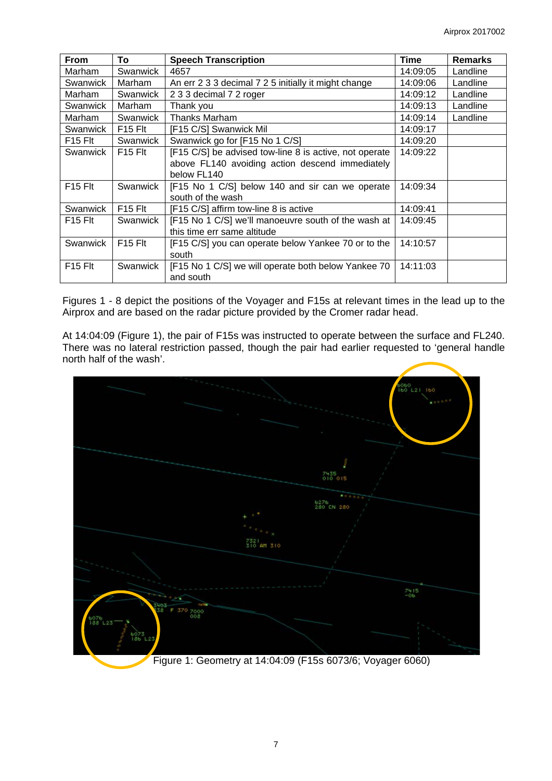| <b>From</b>                     | To                              | <b>Speech Transcription</b>                            | Time     | <b>Remarks</b> |
|---------------------------------|---------------------------------|--------------------------------------------------------|----------|----------------|
| Marham                          | Swanwick                        | 4657                                                   | 14:09:05 | Landline       |
| Swanwick                        | Marham                          | An err 2 3 3 decimal 7 2 5 initially it might change   | 14:09:06 | Landline       |
| Marham                          | Swanwick                        | 2 3 3 decimal 7 2 roger                                | 14:09:12 | Landline       |
| Swanwick                        | Marham                          | Thank you                                              | 14:09:13 | Landline       |
| Marham                          | Swanwick                        | <b>Thanks Marham</b>                                   | 14:09:14 | Landline       |
| Swanwick                        | F <sub>15</sub> F <sub>It</sub> | [F15 C/S] Swanwick Mil                                 | 14:09:17 |                |
| F <sub>15</sub> Flt             | Swanwick                        | Swanwick go for [F15 No 1 C/S]                         | 14:09:20 |                |
| Swanwick                        | $F15$ Fit                       | [F15 C/S] be advised tow-line 8 is active, not operate | 14:09:22 |                |
|                                 |                                 | above FL140 avoiding action descend immediately        |          |                |
|                                 |                                 | below FL140                                            |          |                |
| $F15$ Flt                       | Swanwick                        | [F15 No 1 C/S] below 140 and sir can we operate        | 14:09:34 |                |
|                                 |                                 | south of the wash                                      |          |                |
| Swanwick                        | F <sub>15</sub> F <sub>It</sub> | [F15 C/S] affirm tow-line 8 is active                  | 14:09:41 |                |
| $F15$ Flt                       | Swanwick                        | [F15 No 1 C/S] we'll manoeuvre south of the wash at    | 14:09:45 |                |
|                                 |                                 | this time err same altitude                            |          |                |
| Swanwick                        | $F15$ Flt                       | [F15 C/S] you can operate below Yankee 70 or to the    | 14:10:57 |                |
|                                 |                                 | south                                                  |          |                |
| F <sub>15</sub> F <sub>It</sub> | Swanwick                        | [F15 No 1 C/S] we will operate both below Yankee 70    | 14:11:03 |                |
|                                 |                                 | and south                                              |          |                |

Figures 1 - 8 depict the positions of the Voyager and F15s at relevant times in the lead up to the Airprox and are based on the radar picture provided by the Cromer radar head.

At 14:04:09 (Figure 1), the pair of F15s was instructed to operate between the surface and FL240. There was no lateral restriction passed, though the pair had earlier requested to 'general handle north half of the wash'.

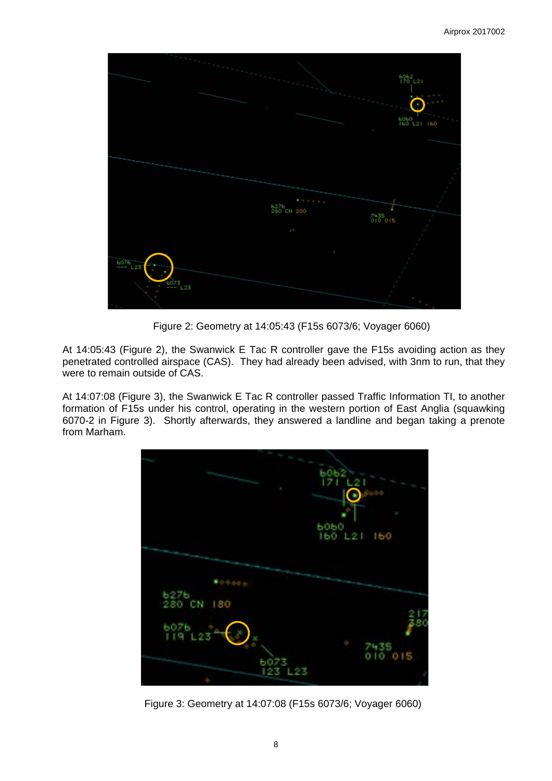

Figure 2: Geometry at 14:05:43 (F15s 6073/6; Voyager 6060)

At 14:05:43 (Figure 2), the Swanwick E Tac R controller gave the F15s avoiding action as they penetrated controlled airspace (CAS). They had already been advised, with 3nm to run, that they were to remain outside of CAS.

At 14:07:08 (Figure 3), the Swanwick E Tac R controller passed Traffic Information TI, to another formation of F15s under his control, operating in the western portion of East Anglia (squawking 6070-2 in Figure 3). Shortly afterwards, they answered a landline and began taking a prenote from Marham.



Figure 3: Geometry at 14:07:08 (F15s 6073/6; Voyager 6060)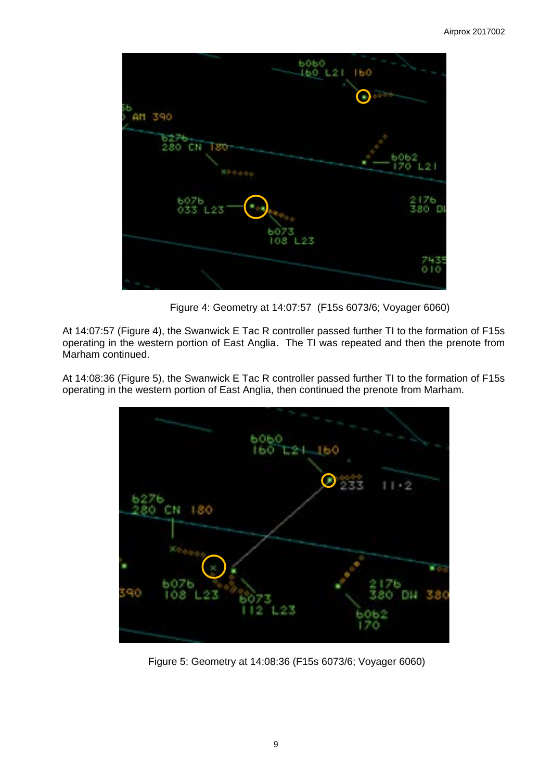

Figure 4: Geometry at 14:07:57 (F15s 6073/6; Voyager 6060)

At 14:07:57 (Figure 4), the Swanwick E Tac R controller passed further TI to the formation of F15s operating in the western portion of East Anglia. The TI was repeated and then the prenote from Marham continued.

At 14:08:36 (Figure 5), the Swanwick E Tac R controller passed further TI to the formation of F15s operating in the western portion of East Anglia, then continued the prenote from Marham.



Figure 5: Geometry at 14:08:36 (F15s 6073/6; Voyager 6060)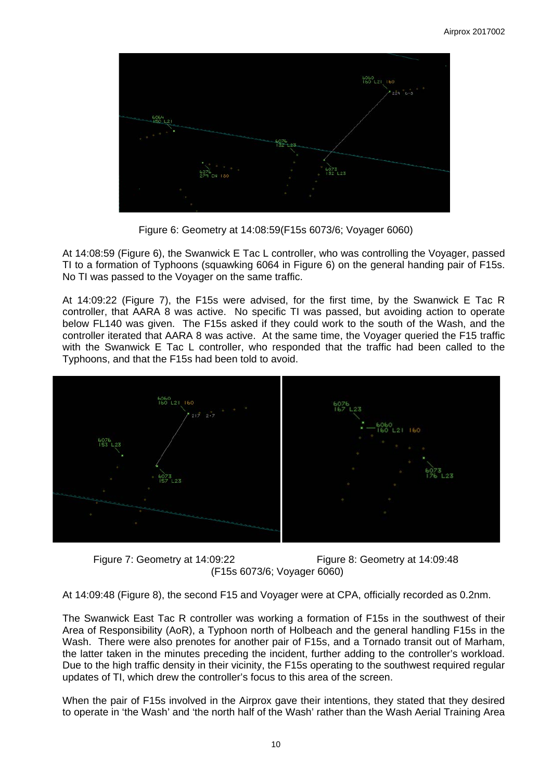

Figure 6: Geometry at 14:08:59(F15s 6073/6; Voyager 6060)

At 14:08:59 (Figure 6), the Swanwick E Tac L controller, who was controlling the Voyager, passed TI to a formation of Typhoons (squawking 6064 in Figure 6) on the general handing pair of F15s. No TI was passed to the Voyager on the same traffic.

At 14:09:22 (Figure 7), the F15s were advised, for the first time, by the Swanwick E Tac R controller, that AARA 8 was active. No specific TI was passed, but avoiding action to operate below FL140 was given. The F15s asked if they could work to the south of the Wash, and the controller iterated that AARA 8 was active. At the same time, the Voyager queried the F15 traffic with the Swanwick E Tac L controller, who responded that the traffic had been called to the Typhoons, and that the F15s had been told to avoid.



Figure 7: Geometry at 14:09:22 Figure 8: Geometry at 14:09:48 (F15s 6073/6; Voyager 6060)

At 14:09:48 (Figure 8), the second F15 and Voyager were at CPA, officially recorded as 0.2nm.

The Swanwick East Tac R controller was working a formation of F15s in the southwest of their Area of Responsibility (AoR), a Typhoon north of Holbeach and the general handling F15s in the Wash. There were also prenotes for another pair of F15s, and a Tornado transit out of Marham, the latter taken in the minutes preceding the incident, further adding to the controller's workload. Due to the high traffic density in their vicinity, the F15s operating to the southwest required regular updates of TI, which drew the controller's focus to this area of the screen.

When the pair of F15s involved in the Airprox gave their intentions, they stated that they desired to operate in 'the Wash' and 'the north half of the Wash' rather than the Wash Aerial Training Area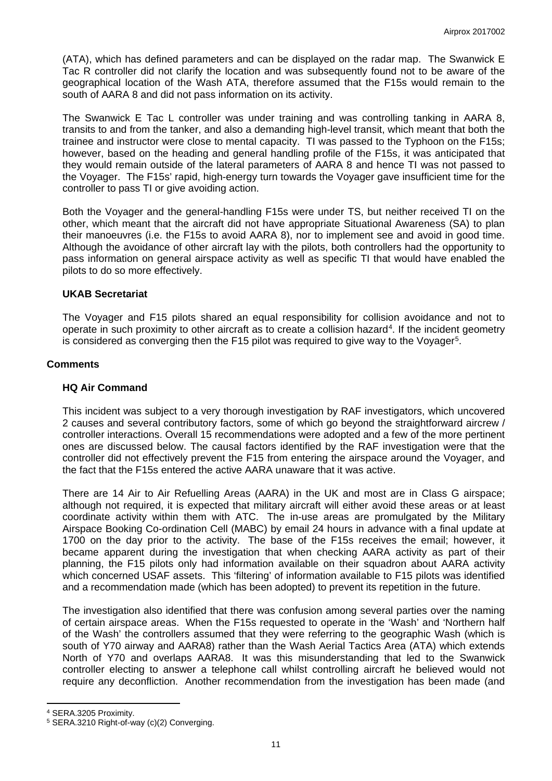(ATA), which has defined parameters and can be displayed on the radar map. The Swanwick E Tac R controller did not clarify the location and was subsequently found not to be aware of the geographical location of the Wash ATA, therefore assumed that the F15s would remain to the south of AARA 8 and did not pass information on its activity.

The Swanwick E Tac L controller was under training and was controlling tanking in AARA 8, transits to and from the tanker, and also a demanding high-level transit, which meant that both the trainee and instructor were close to mental capacity. TI was passed to the Typhoon on the F15s; however, based on the heading and general handling profile of the F15s, it was anticipated that they would remain outside of the lateral parameters of AARA 8 and hence TI was not passed to the Voyager. The F15s' rapid, high-energy turn towards the Voyager gave insufficient time for the controller to pass TI or give avoiding action.

Both the Voyager and the general-handling F15s were under TS, but neither received TI on the other, which meant that the aircraft did not have appropriate Situational Awareness (SA) to plan their manoeuvres (i.e. the F15s to avoid AARA 8), nor to implement see and avoid in good time. Although the avoidance of other aircraft lay with the pilots, both controllers had the opportunity to pass information on general airspace activity as well as specific TI that would have enabled the pilots to do so more effectively.

### **UKAB Secretariat**

The Voyager and F15 pilots shared an equal responsibility for collision avoidance and not to operate in such proximity to other aircraft as to create a collision hazard<sup>[4](#page-10-0)</sup>. If the incident geometry is considered as converging then the F15 pilot was required to give way to the Voyager[5.](#page-10-1)

### **Comments**

#### **HQ Air Command**

This incident was subject to a very thorough investigation by RAF investigators, which uncovered 2 causes and several contributory factors, some of which go beyond the straightforward aircrew / controller interactions. Overall 15 recommendations were adopted and a few of the more pertinent ones are discussed below. The causal factors identified by the RAF investigation were that the controller did not effectively prevent the F15 from entering the airspace around the Voyager, and the fact that the F15s entered the active AARA unaware that it was active.

There are 14 Air to Air Refuelling Areas (AARA) in the UK and most are in Class G airspace; although not required, it is expected that military aircraft will either avoid these areas or at least coordinate activity within them with ATC. The in-use areas are promulgated by the Military Airspace Booking Co-ordination Cell (MABC) by email 24 hours in advance with a final update at 1700 on the day prior to the activity. The base of the F15s receives the email; however, it became apparent during the investigation that when checking AARA activity as part of their planning, the F15 pilots only had information available on their squadron about AARA activity which concerned USAF assets. This 'filtering' of information available to F15 pilots was identified and a recommendation made (which has been adopted) to prevent its repetition in the future.

The investigation also identified that there was confusion among several parties over the naming of certain airspace areas. When the F15s requested to operate in the 'Wash' and 'Northern half of the Wash' the controllers assumed that they were referring to the geographic Wash (which is south of Y70 airway and AARA8) rather than the Wash Aerial Tactics Area (ATA) which extends North of Y70 and overlaps AARA8. It was this misunderstanding that led to the Swanwick controller electing to answer a telephone call whilst controlling aircraft he believed would not require any deconfliction. Another recommendation from the investigation has been made (and

 $\overline{a}$ 

<span id="page-10-0"></span><sup>4</sup> SERA.3205 Proximity.

<span id="page-10-1"></span><sup>5</sup> SERA.3210 Right-of-way (c)(2) Converging.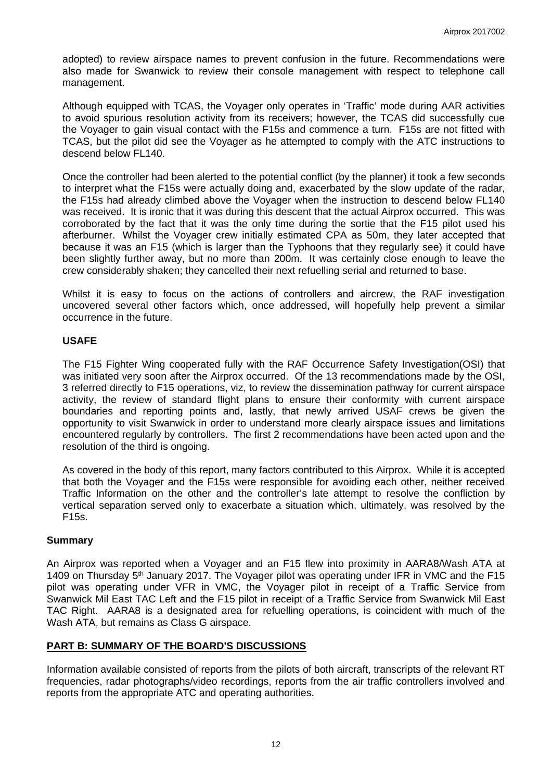adopted) to review airspace names to prevent confusion in the future. Recommendations were also made for Swanwick to review their console management with respect to telephone call management.

Although equipped with TCAS, the Voyager only operates in 'Traffic' mode during AAR activities to avoid spurious resolution activity from its receivers; however, the TCAS did successfully cue the Voyager to gain visual contact with the F15s and commence a turn. F15s are not fitted with TCAS, but the pilot did see the Voyager as he attempted to comply with the ATC instructions to descend below FL140.

Once the controller had been alerted to the potential conflict (by the planner) it took a few seconds to interpret what the F15s were actually doing and, exacerbated by the slow update of the radar, the F15s had already climbed above the Voyager when the instruction to descend below FL140 was received. It is ironic that it was during this descent that the actual Airprox occurred. This was corroborated by the fact that it was the only time during the sortie that the F15 pilot used his afterburner. Whilst the Voyager crew initially estimated CPA as 50m, they later accepted that because it was an F15 (which is larger than the Typhoons that they regularly see) it could have been slightly further away, but no more than 200m. It was certainly close enough to leave the crew considerably shaken; they cancelled their next refuelling serial and returned to base.

Whilst it is easy to focus on the actions of controllers and aircrew, the RAF investigation uncovered several other factors which, once addressed, will hopefully help prevent a similar occurrence in the future.

### **USAFE**

The F15 Fighter Wing cooperated fully with the RAF Occurrence Safety Investigation(OSI) that was initiated very soon after the Airprox occurred. Of the 13 recommendations made by the OSI, 3 referred directly to F15 operations, viz, to review the dissemination pathway for current airspace activity, the review of standard flight plans to ensure their conformity with current airspace boundaries and reporting points and, lastly, that newly arrived USAF crews be given the opportunity to visit Swanwick in order to understand more clearly airspace issues and limitations encountered regularly by controllers. The first 2 recommendations have been acted upon and the resolution of the third is ongoing.

As covered in the body of this report, many factors contributed to this Airprox. While it is accepted that both the Voyager and the F15s were responsible for avoiding each other, neither received Traffic Information on the other and the controller's late attempt to resolve the confliction by vertical separation served only to exacerbate a situation which, ultimately, was resolved by the F15s.

#### **Summary**

An Airprox was reported when a Voyager and an F15 flew into proximity in AARA8/Wash ATA at 1409 on Thursday 5<sup>th</sup> January 2017. The Voyager pilot was operating under IFR in VMC and the F15 pilot was operating under VFR in VMC, the Voyager pilot in receipt of a Traffic Service from Swanwick Mil East TAC Left and the F15 pilot in receipt of a Traffic Service from Swanwick Mil East TAC Right. AARA8 is a designated area for refuelling operations, is coincident with much of the Wash ATA, but remains as Class G airspace.

## **PART B: SUMMARY OF THE BOARD'S DISCUSSIONS**

Information available consisted of reports from the pilots of both aircraft, transcripts of the relevant RT frequencies, radar photographs/video recordings, reports from the air traffic controllers involved and reports from the appropriate ATC and operating authorities.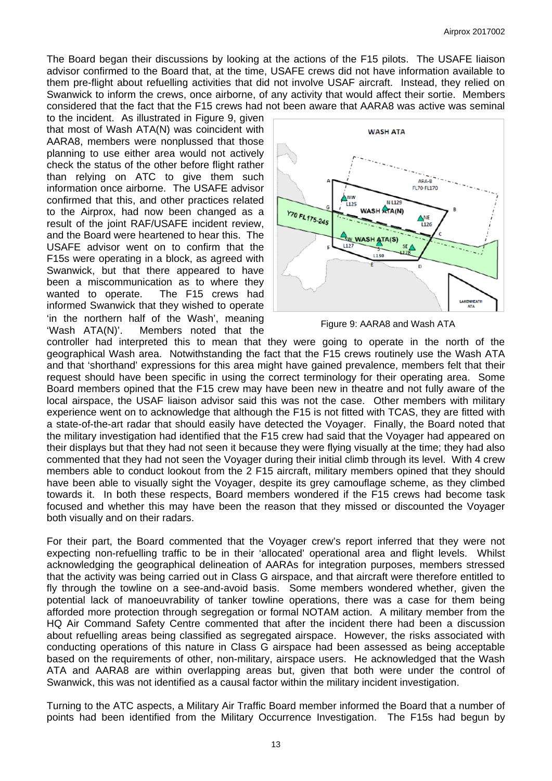The Board began their discussions by looking at the actions of the F15 pilots. The USAFE liaison advisor confirmed to the Board that, at the time, USAFE crews did not have information available to them pre-flight about refuelling activities that did not involve USAF aircraft. Instead, they relied on Swanwick to inform the crews, once airborne, of any activity that would affect their sortie. Members considered that the fact that the F15 crews had not been aware that AARA8 was active was seminal

to the incident. As illustrated in Figure 9, given that most of Wash ATA(N) was coincident with AARA8, members were nonplussed that those planning to use either area would not actively check the status of the other before flight rather than relying on ATC to give them such information once airborne. The USAFE advisor confirmed that this, and other practices related to the Airprox, had now been changed as a result of the joint RAF/USAFE incident review, and the Board were heartened to hear this. The USAFE advisor went on to confirm that the F15s were operating in a block, as agreed with Swanwick, but that there appeared to have been a miscommunication as to where they wanted to operate. The F15 crews had informed Swanwick that they wished to operate 'in the northern half of the Wash', meaning 'Wash ATA(N)'. Members noted that the



Figure 9: AARA8 and Wash ATA

controller had interpreted this to mean that they were going to operate in the north of the geographical Wash area. Notwithstanding the fact that the F15 crews routinely use the Wash ATA and that 'shorthand' expressions for this area might have gained prevalence, members felt that their request should have been specific in using the correct terminology for their operating area. Some Board members opined that the F15 crew may have been new in theatre and not fully aware of the local airspace, the USAF liaison advisor said this was not the case. Other members with military experience went on to acknowledge that although the F15 is not fitted with TCAS, they are fitted with a state-of-the-art radar that should easily have detected the Voyager. Finally, the Board noted that the military investigation had identified that the F15 crew had said that the Voyager had appeared on their displays but that they had not seen it because they were flying visually at the time; they had also commented that they had not seen the Voyager during their initial climb through its level. With 4 crew members able to conduct lookout from the 2 F15 aircraft, military members opined that they should have been able to visually sight the Voyager, despite its grey camouflage scheme, as they climbed towards it. In both these respects, Board members wondered if the F15 crews had become task focused and whether this may have been the reason that they missed or discounted the Voyager both visually and on their radars.

For their part, the Board commented that the Voyager crew's report inferred that they were not expecting non-refuelling traffic to be in their 'allocated' operational area and flight levels. Whilst acknowledging the geographical delineation of AARAs for integration purposes, members stressed that the activity was being carried out in Class G airspace, and that aircraft were therefore entitled to fly through the towline on a see-and-avoid basis. Some members wondered whether, given the potential lack of manoeuvrability of tanker towline operations, there was a case for them being afforded more protection through segregation or formal NOTAM action. A military member from the HQ Air Command Safety Centre commented that after the incident there had been a discussion about refuelling areas being classified as segregated airspace. However, the risks associated with conducting operations of this nature in Class G airspace had been assessed as being acceptable based on the requirements of other, non-military, airspace users. He acknowledged that the Wash ATA and AARA8 are within overlapping areas but, given that both were under the control of Swanwick, this was not identified as a causal factor within the military incident investigation.

Turning to the ATC aspects, a Military Air Traffic Board member informed the Board that a number of points had been identified from the Military Occurrence Investigation. The F15s had begun by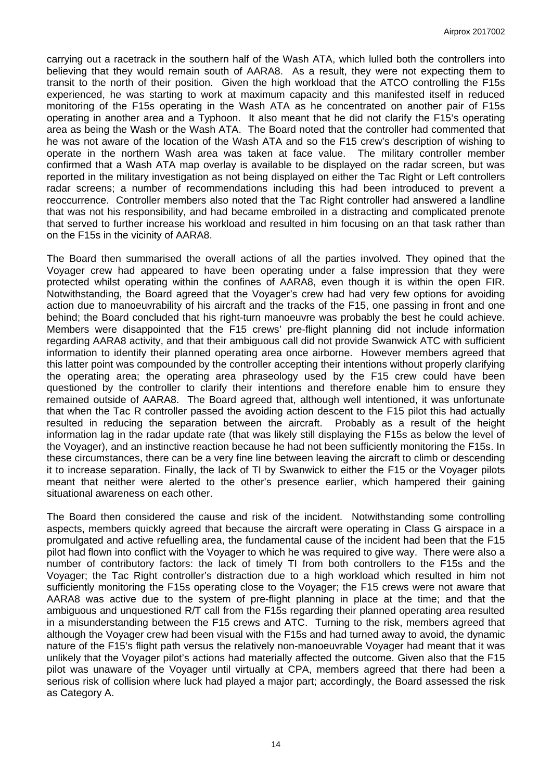carrying out a racetrack in the southern half of the Wash ATA, which lulled both the controllers into believing that they would remain south of AARA8. As a result, they were not expecting them to transit to the north of their position. Given the high workload that the ATCO controlling the F15s experienced, he was starting to work at maximum capacity and this manifested itself in reduced monitoring of the F15s operating in the Wash ATA as he concentrated on another pair of F15s operating in another area and a Typhoon. It also meant that he did not clarify the F15's operating area as being the Wash or the Wash ATA. The Board noted that the controller had commented that he was not aware of the location of the Wash ATA and so the F15 crew's description of wishing to operate in the northern Wash area was taken at face value. The military controller member confirmed that a Wash ATA map overlay is available to be displayed on the radar screen, but was reported in the military investigation as not being displayed on either the Tac Right or Left controllers radar screens; a number of recommendations including this had been introduced to prevent a reoccurrence. Controller members also noted that the Tac Right controller had answered a landline that was not his responsibility, and had became embroiled in a distracting and complicated prenote that served to further increase his workload and resulted in him focusing on an that task rather than on the F15s in the vicinity of AARA8.

The Board then summarised the overall actions of all the parties involved. They opined that the Voyager crew had appeared to have been operating under a false impression that they were protected whilst operating within the confines of AARA8, even though it is within the open FIR. Notwithstanding, the Board agreed that the Voyager's crew had had very few options for avoiding action due to manoeuvrability of his aircraft and the tracks of the F15, one passing in front and one behind; the Board concluded that his right-turn manoeuvre was probably the best he could achieve. Members were disappointed that the F15 crews' pre-flight planning did not include information regarding AARA8 activity, and that their ambiguous call did not provide Swanwick ATC with sufficient information to identify their planned operating area once airborne. However members agreed that this latter point was compounded by the controller accepting their intentions without properly clarifying the operating area; the operating area phraseology used by the F15 crew could have been questioned by the controller to clarify their intentions and therefore enable him to ensure they remained outside of AARA8. The Board agreed that, although well intentioned, it was unfortunate that when the Tac R controller passed the avoiding action descent to the F15 pilot this had actually resulted in reducing the separation between the aircraft. Probably as a result of the height information lag in the radar update rate (that was likely still displaying the F15s as below the level of the Voyager), and an instinctive reaction because he had not been sufficiently monitoring the F15s. In these circumstances, there can be a very fine line between leaving the aircraft to climb or descending it to increase separation. Finally, the lack of TI by Swanwick to either the F15 or the Voyager pilots meant that neither were alerted to the other's presence earlier, which hampered their gaining situational awareness on each other.

The Board then considered the cause and risk of the incident. Notwithstanding some controlling aspects, members quickly agreed that because the aircraft were operating in Class G airspace in a promulgated and active refuelling area, the fundamental cause of the incident had been that the F15 pilot had flown into conflict with the Voyager to which he was required to give way. There were also a number of contributory factors: the lack of timely TI from both controllers to the F15s and the Voyager; the Tac Right controller's distraction due to a high workload which resulted in him not sufficiently monitoring the F15s operating close to the Voyager; the F15 crews were not aware that AARA8 was active due to the system of pre-flight planning in place at the time; and that the ambiguous and unquestioned R/T call from the F15s regarding their planned operating area resulted in a misunderstanding between the F15 crews and ATC. Turning to the risk, members agreed that although the Voyager crew had been visual with the F15s and had turned away to avoid, the dynamic nature of the F15's flight path versus the relatively non-manoeuvrable Voyager had meant that it was unlikely that the Voyager pilot's actions had materially affected the outcome. Given also that the F15 pilot was unaware of the Voyager until virtually at CPA, members agreed that there had been a serious risk of collision where luck had played a major part; accordingly, the Board assessed the risk as Category A.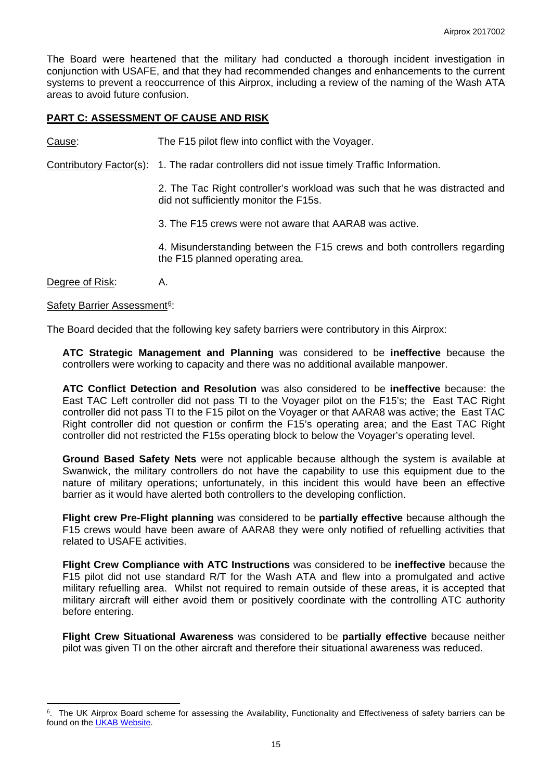The Board were heartened that the military had conducted a thorough incident investigation in conjunction with USAFE, and that they had recommended changes and enhancements to the current systems to prevent a reoccurrence of this Airprox, including a review of the naming of the Wash ATA areas to avoid future confusion.

## **PART C: ASSESSMENT OF CAUSE AND RISK**

Cause: The F15 pilot flew into conflict with the Voyager.

Contributory Factor(s): 1. The radar controllers did not issue timely Traffic Information.

2. The Tac Right controller's workload was such that he was distracted and did not sufficiently monitor the F15s.

3. The F15 crews were not aware that AARA8 was active.

4. Misunderstanding between the F15 crews and both controllers regarding the F15 planned operating area.

Degree of Risk: A.

 $\overline{a}$ 

#### Safety Barrier Assessment<sup>[6](#page-14-0)</sup>:

The Board decided that the following key safety barriers were contributory in this Airprox:

**ATC Strategic Management and Planning** was considered to be **ineffective** because the controllers were working to capacity and there was no additional available manpower.

**ATC Conflict Detection and Resolution** was also considered to be **ineffective** because: the East TAC Left controller did not pass TI to the Voyager pilot on the F15's; the East TAC Right controller did not pass TI to the F15 pilot on the Voyager or that AARA8 was active; the East TAC Right controller did not question or confirm the F15's operating area; and the East TAC Right controller did not restricted the F15s operating block to below the Voyager's operating level.

**Ground Based Safety Nets** were not applicable because although the system is available at Swanwick, the military controllers do not have the capability to use this equipment due to the nature of military operations; unfortunately, in this incident this would have been an effective barrier as it would have alerted both controllers to the developing confliction.

**Flight crew Pre-Flight planning** was considered to be **partially effective** because although the F15 crews would have been aware of AARA8 they were only notified of refuelling activities that related to USAFE activities.

**Flight Crew Compliance with ATC Instructions** was considered to be **ineffective** because the F15 pilot did not use standard R/T for the Wash ATA and flew into a promulgated and active military refuelling area. Whilst not required to remain outside of these areas, it is accepted that military aircraft will either avoid them or positively coordinate with the controlling ATC authority before entering.

**Flight Crew Situational Awareness** was considered to be **partially effective** because neither pilot was given TI on the other aircraft and therefore their situational awareness was reduced.

<span id="page-14-0"></span><sup>&</sup>lt;sup>6</sup>. The UK Airprox Board scheme for assessing the Availability, Functionality and Effectiveness of safety barriers can be found on the **UKAB Website**.